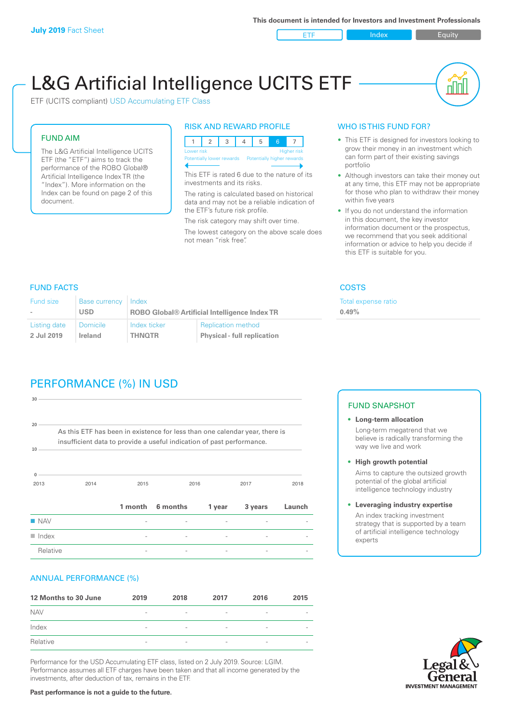ETF Index Buity

ul III

# L&G Artificial Intelligence UCITS ETF

ETF (UCITS compliant) USD Accumulating ETF Class

### FUND AIM

The L&G Artificial Intelligence UCITS ETF (the "ETF") aims to track the performance of the ROBO Global® Artificial Intelligence Index TR (the "Index"). More information on the Index can be found on page 2 of this document.

### RISK AND REWARD PROFILE



This ETF is rated 6 due to the nature of its investments and its risks.

The rating is calculated based on historical data and may not be a reliable indication of the ETF's future risk profile.

The risk category may shift over time. The lowest category on the above scale does not mean "risk free".

### WHO IS THIS FUND FOR?

- This ETF is designed for investors looking to grow their money in an investment which can form part of their existing savings portfolio
- Although investors can take their money out at any time, this ETF may not be appropriate for those who plan to withdraw their money within five years
- If you do not understand the information in this document, the key investor information document or the prospectus, we recommend that you seek additional information or advice to help you decide if this ETF is suitable for you.

**0.49%**

Total expense ratio

FUND FACTS COSTS

| <b>Fund size</b> | <b>Base currency</b> | Index                                                |                                    |  |
|------------------|----------------------|------------------------------------------------------|------------------------------------|--|
| $\sim$           | <b>USD</b>           | <b>ROBO Global® Artificial Intelligence Index TR</b> |                                    |  |
| Listing date     | <b>Domicile</b>      | Index ticker                                         | <b>Replication method</b>          |  |
| 2 Jul 2019       | Ireland              | <b>THNOTR</b>                                        | <b>Physical - full replication</b> |  |

## PERFORMANCE (%) IN USD

| 30                       |                                                                                                                                                      |              |          |        |         |        |
|--------------------------|------------------------------------------------------------------------------------------------------------------------------------------------------|--------------|----------|--------|---------|--------|
| 20<br>10                 | As this ETF has been in existence for less than one calendar year, there is<br>insufficient data to provide a useful indication of past performance. |              |          |        |         |        |
| $\Omega$<br>2013<br>2014 |                                                                                                                                                      | 2015<br>2016 |          |        | 2017    |        |
|                          |                                                                                                                                                      | 1 month      | 6 months | 1 year | 3 years | Launch |
| $\blacksquare$ NAV       |                                                                                                                                                      |              |          |        |         |        |
| $\blacksquare$ Index     |                                                                                                                                                      |              |          |        |         |        |
| Relative                 |                                                                                                                                                      |              |          |        |         |        |

### ANNUAL PERFORMANCE (%)

| 12 Months to 30 June | 2019                     | 2018                     | 2017                     | 2016            | 2015                     |
|----------------------|--------------------------|--------------------------|--------------------------|-----------------|--------------------------|
| <b>NAV</b>           | $\overline{\phantom{a}}$ | $\overline{\phantom{a}}$ | $\overline{\phantom{a}}$ | $\qquad \qquad$ |                          |
| Index                | $\overline{\phantom{a}}$ | $\overline{\phantom{a}}$ | $\qquad \qquad$          | $\qquad \qquad$ | $\overline{\phantom{a}}$ |
| Relative             | $\sim$                   | $\overline{\phantom{a}}$ | $\overline{\phantom{a}}$ | $\qquad \qquad$ | $\overline{\phantom{a}}$ |

Performance for the USD Accumulating ETF class, listed on 2 July 2019. Source: LGIM. Performance assumes all ETF charges have been taken and that all income generated by the investments, after deduction of tax, remains in the ETF.

### FUND SNAPSHOT

- **• Long-term allocation** Long-term megatrend that we believe is radically transforming the way we live and work
- **• High growth potential** Aims to capture the outsized growth potential of the global artificial intelligence technology industry
- **• Leveraging industry expertise** An index tracking investment strategy that is supported by a team of artificial intelligence technology experts



**Past performance is not a guide to the future.**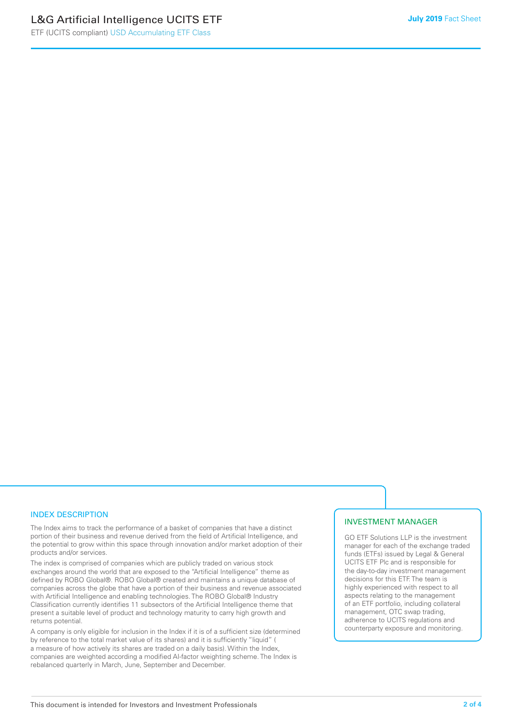### INDEX DESCRIPTION

The Index aims to track the performance of a basket of companies that have a distinct portion of their business and revenue derived from the field of Artificial Intelligence, and the potential to grow within this space through innovation and/or market adoption of their products and/or services.

The index is comprised of companies which are publicly traded on various stock exchanges around the world that are exposed to the "Artificial Intelligence" theme as defined by ROBO Global®. ROBO Global® created and maintains a unique database of companies across the globe that have a portion of their business and revenue associated with Artificial Intelligence and enabling technologies. The ROBO Global® Industry Classification currently identifies 11 subsectors of the Artificial Intelligence theme that present a suitable level of product and technology maturity to carry high growth and returns potential.

A company is only eligible for inclusion in the Index if it is of a sufficient size (determined by reference to the total market value of its shares) and it is sufficiently "liquid" ( a measure of how actively its shares are traded on a daily basis). Within the Index, companies are weighted according a modified AI-factor weighting scheme. The Index is rebalanced quarterly in March, June, September and December.

### INVESTMENT MANAGER

GO ETF Solutions LLP is the investment manager for each of the exchange traded funds (ETFs) issued by Legal & General UCITS ETF Plc and is responsible for the day-to-day investment management decisions for this ETF. The team is highly experienced with respect to all aspects relating to the management of an ETF portfolio, including collateral management, OTC swap trading, adherence to UCITS regulations and counterparty exposure and monitoring.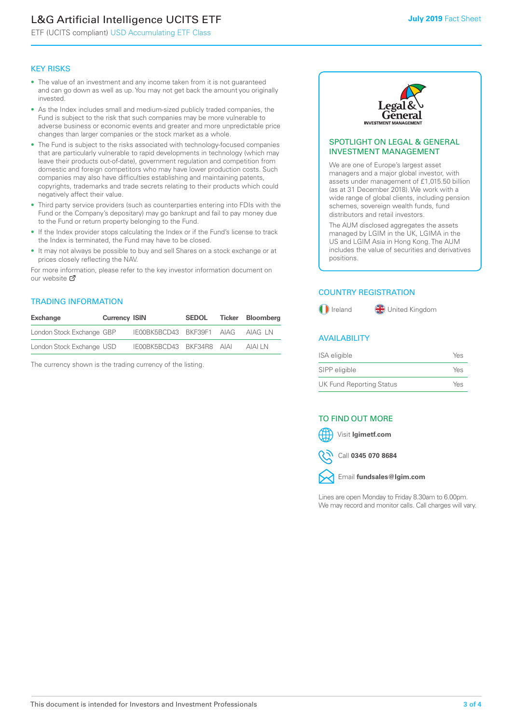### L&G Artificial Intelligence UCITS ETF

ETF (UCITS compliant) USD Accumulating ETF Class

### KEY RISKS

- The value of an investment and any income taken from it is not guaranteed and can go down as well as up. You may not get back the amount you originally invested.
- As the Index includes small and medium-sized publicly traded companies, the Fund is subject to the risk that such companies may be more vulnerable to adverse business or economic events and greater and more unpredictable price changes than larger companies or the stock market as a whole.
- The Fund is subject to the risks associated with technology-focused companies that are particularly vulnerable to rapid developments in technology (which may leave their products out-of-date), government regulation and competition from domestic and foreign competitors who may have lower production costs. Such companies may also have difficulties establishing and maintaining patents, copyrights, trademarks and trade secrets relating to their products which could negatively affect their value.
- Third party service providers (such as counterparties entering into FDIs with the Fund or the Company's depositary) may go bankrupt and fail to pay money due to the Fund or return property belonging to the Fund.
- If the Index provider stops calculating the Index or if the Fund's license to track the Index is terminated, the Fund may have to be closed.
- It may not always be possible to buy and sell Shares on a stock exchange or at prices closely reflecting the NAV.

For more information, please refer to the key investor information document on our website M

### TRADING INFORMATION

| Exchange                  | <b>Currency ISIN</b> |                           | <b>SEDOL</b> | Ticker Bloombera |
|---------------------------|----------------------|---------------------------|--------------|------------------|
| London Stock Exchange GBP |                      | IE00BK5BCD43 BKF39F1 AIAG |              | AIAG LN          |
| London Stock Exchange USD |                      | IE00BK5BCD43 BKF34R8 AIAI |              | AIAI I N         |

The currency shown is the trading currency of the listing.



### SPOTLIGHT ON LEGAL & GENERAL INVESTMENT MANAGEMENT

We are one of Europe's largest asset managers and a major global investor, with assets under management of £1,015.50 billion (as at 31 December 2018). We work with a wide range of global clients, including pension schemes, sovereign wealth funds, fund distributors and retail investors.

The AUM disclosed aggregates the assets managed by LGIM in the UK, LGIMA in the US and LGIM Asia in Hong Kong. The AUM includes the value of securities and derivatives positions.

### COUNTRY REGISTRATION



### AVAILABILITY

| ISA eligible                    | Yes |
|---------------------------------|-----|
| SIPP eligible                   | Yes |
| <b>UK Fund Reporting Status</b> | Yes |

### TO FIND OUT MORE

### Visit **lgimetf.com**

Call **0345 070 8684**



Email **fundsales@lgim.com**

Lines are open Monday to Friday 8.30am to 6.00pm. We may record and monitor calls. Call charges will vary.